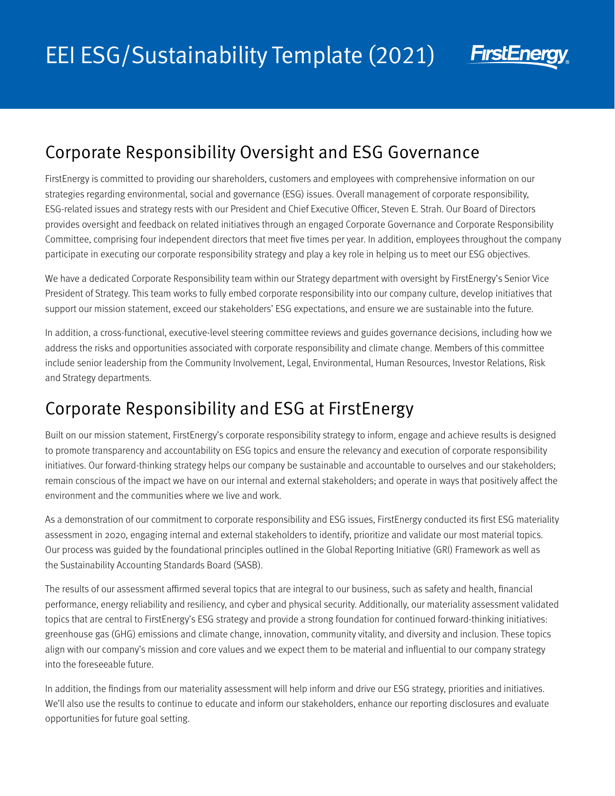

## Corporate Responsibility Oversight and ESG Governance

FirstEnergy is committed to providing our shareholders, customers and employees with comprehensive information on our strategies regarding environmental, social and governance (ESG) issues. Overall management of corporate responsibility, ESG-related issues and strategy rests with our President and Chief Executive Officer, Steven E. Strah. Our Board of Directors provides oversight and feedback on related initiatives through an engaged Corporate Governance and Corporate Responsibility Committee, comprising four independent directors that meet five times per year. In addition, employees throughout the company participate in executing our corporate responsibility strategy and play a key role in helping us to meet our ESG objectives.

We have a dedicated Corporate Responsibility team within our Strategy department with oversight by FirstEnergy's Senior Vice President of Strategy. This team works to fully embed corporate responsibility into our company culture, develop initiatives that support our mission statement, exceed our stakeholders' ESG expectations, and ensure we are sustainable into the future.

In addition, a cross-functional, executive-level steering committee reviews and guides governance decisions, including how we address the risks and opportunities associated with corporate responsibility and climate change. Members of this committee include senior leadership from the Community Involvement, Legal, Environmental, Human Resources, Investor Relations, Risk and Strategy departments.

## Corporate Responsibility and ESG at FirstEnergy

Built on our mission statement, FirstEnergy's corporate responsibility strategy to inform, engage and achieve results is designed to promote transparency and accountability on ESG topics and ensure the relevancy and execution of corporate responsibility initiatives. Our forward-thinking strategy helps our company be sustainable and accountable to ourselves and our stakeholders; remain conscious of the impact we have on our internal and external stakeholders; and operate in ways that positively affect the environment and the communities where we live and work.

As a demonstration of our commitment to corporate responsibility and ESG issues, FirstEnergy conducted its first ESG materiality assessment in 2020, engaging internal and external stakeholders to identify, prioritize and validate our most material topics. Our process was guided by the foundational principles outlined in the Global Reporting Initiative (GRI) Framework as well as the Sustainability Accounting Standards Board (SASB).

The results of our assessment affirmed several topics that are integral to our business, such as safety and health, financial performance, energy reliability and resiliency, and cyber and physical security. Additionally, our materiality assessment validated topics that are central to FirstEnergy's ESG strategy and provide a strong foundation for continued forward-thinking initiatives: greenhouse gas (GHG) emissions and climate change, innovation, community vitality, and diversity and inclusion. These topics align with our company's mission and core values and we expect them to be material and influential to our company strategy into the foreseeable future.

In addition, the findings from our materiality assessment will help inform and drive our ESG strategy, priorities and initiatives. We'll also use the results to continue to educate and inform our stakeholders, enhance our reporting disclosures and evaluate opportunities for future goal setting.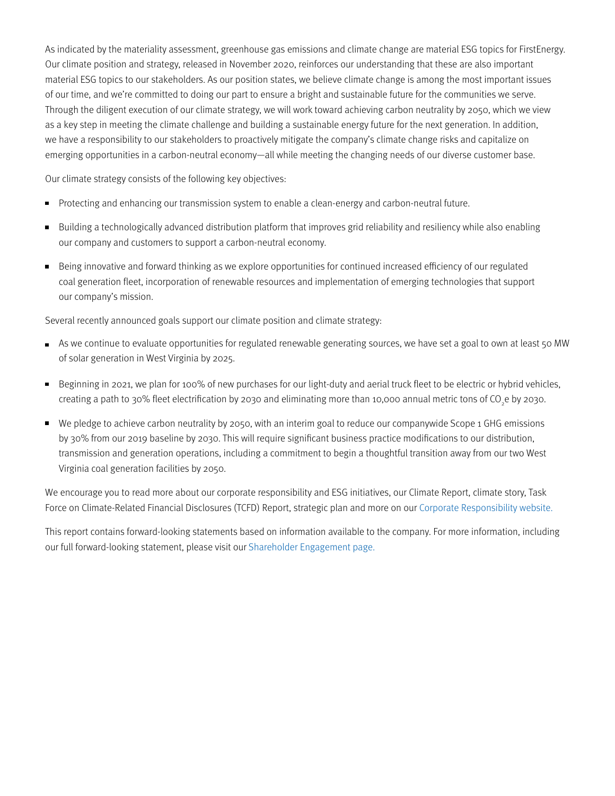As indicated by the materiality assessment, greenhouse gas emissions and climate change are material ESG topics for FirstEnergy. Our climate position and strategy, released in November 2020, reinforces our understanding that these are also important material ESG topics to our stakeholders. As our position states, we believe climate change is among the most important issues of our time, and we're committed to doing our part to ensure a bright and sustainable future for the communities we serve. Through the diligent execution of our climate strategy, we will work toward achieving carbon neutrality by 2050, which we view as a key step in meeting the climate challenge and building a sustainable energy future for the next generation. In addition, we have a responsibility to our stakeholders to proactively mitigate the company's climate change risks and capitalize on emerging opportunities in a carbon-neutral economy—all while meeting the changing needs of our diverse customer base.

Our climate strategy consists of the following key objectives:

- $\blacksquare$ Protecting and enhancing our transmission system to enable a clean-energy and carbon-neutral future.
- Building a technologically advanced distribution platform that improves grid reliability and resiliency while also enabling our company and customers to support a carbon-neutral economy.
- Being innovative and forward thinking as we explore opportunities for continued increased efficiency of our regulated coal generation fleet, incorporation of renewable resources and implementation of emerging technologies that support our company's mission.

Several recently announced goals support our climate position and climate strategy:

- As we continue to evaluate opportunities for regulated renewable generating sources, we have set a goal to own at least 50 MW of solar generation in West Virginia by 2025.
- Beginning in 2021, we plan for 100% of new purchases for our light-duty and aerial truck fleet to be electric or hybrid vehicles, creating a path to 30% fleet electrification by 2030 and eliminating more than 10,000 annual metric tons of CO<sub>2</sub>e by 2030.
- We pledge to achieve carbon neutrality by 2050, with an interim goal to reduce our companywide Scope 1 GHG emissions by 30% from our 2019 baseline by 2030. This will require significant business practice modifications to our distribution, transmission and generation operations, including a commitment to begin a thoughtful transition away from our two West Virginia coal generation facilities by 2050.

We encourage you to read more about our corporate responsibility and ESG initiatives, our Climate Report, climate story, Task Force on Climate-Related Financial Disclosures (TCFD) Report, strategic plan and more on our [Corporate Responsibility website.](http://www.fecorporateresponsibility.com)

This report contains forward-looking statements based on information available to the company. For more information, including our full forward-looking statement, please visit our [Shareholder Engagement page.](https://www.firstenergycorp.com/content/fecorp/investor/engagement.html)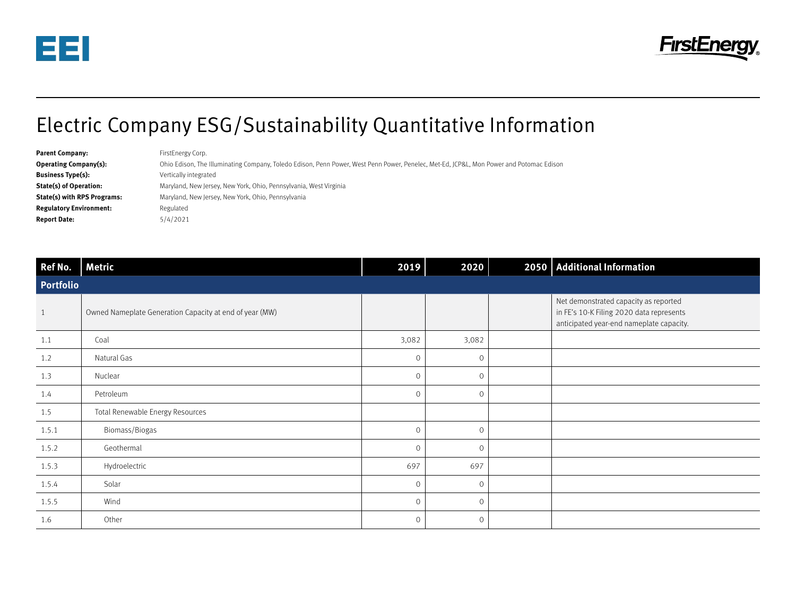



## Electric Company ESG/Sustainability Quantitative Information

| <b>Parent Company:</b>             | FirstEnergy Corp.                                                                                                                       |
|------------------------------------|-----------------------------------------------------------------------------------------------------------------------------------------|
| <b>Operating Company(s):</b>       | Ohio Edison, The Illuminating Company, Toledo Edison, Penn Power, West Penn Power, Penelec, Met-Ed, JCP&L, Mon Power and Potomac Edison |
| <b>Business Type(s):</b>           | Vertically integrated                                                                                                                   |
| <b>State(s) of Operation:</b>      | Maryland, New Jersey, New York, Ohio, Pennsylvania, West Virginia                                                                       |
| <b>State(s) with RPS Programs:</b> | Maryland, New Jersey, New York, Ohio, Pennsylvania                                                                                      |
| <b>Regulatory Environment:</b>     | Regulated                                                                                                                               |
| <b>Report Date:</b>                | 5/4/2021                                                                                                                                |

| Ref No.        | <b>Metric</b>                                           | 2019         | 2020    |  | 2050   Additional Information                                                                                                 |  |
|----------------|---------------------------------------------------------|--------------|---------|--|-------------------------------------------------------------------------------------------------------------------------------|--|
| Portfolio      |                                                         |              |         |  |                                                                                                                               |  |
| $\overline{1}$ | Owned Nameplate Generation Capacity at end of year (MW) |              |         |  | Net demonstrated capacity as reported<br>in FE's 10-K Filing 2020 data represents<br>anticipated year-end nameplate capacity. |  |
| 1.1            | Coal                                                    | 3,082        | 3,082   |  |                                                                                                                               |  |
| 1.2            | Natural Gas                                             | $\mathbf{0}$ | $\circ$ |  |                                                                                                                               |  |
| 1.3            | Nuclear                                                 | $\mathbf{0}$ | $\circ$ |  |                                                                                                                               |  |
| 1.4            | Petroleum                                               | $\circ$      | $\circ$ |  |                                                                                                                               |  |
| 1.5            | Total Renewable Energy Resources                        |              |         |  |                                                                                                                               |  |
| 1.5.1          | Biomass/Biogas                                          | $\circ$      | $\circ$ |  |                                                                                                                               |  |
| 1.5.2          | Geothermal                                              | $\mathbf{0}$ | $\circ$ |  |                                                                                                                               |  |
| 1.5.3          | Hydroelectric                                           | 697          | 697     |  |                                                                                                                               |  |
| 1.5.4          | Solar                                                   | $\mathbf{0}$ | $\circ$ |  |                                                                                                                               |  |
| 1.5.5          | Wind                                                    | $\mathbf{0}$ | 0       |  |                                                                                                                               |  |
| 1.6            | Other                                                   | $\circ$      | $\circ$ |  |                                                                                                                               |  |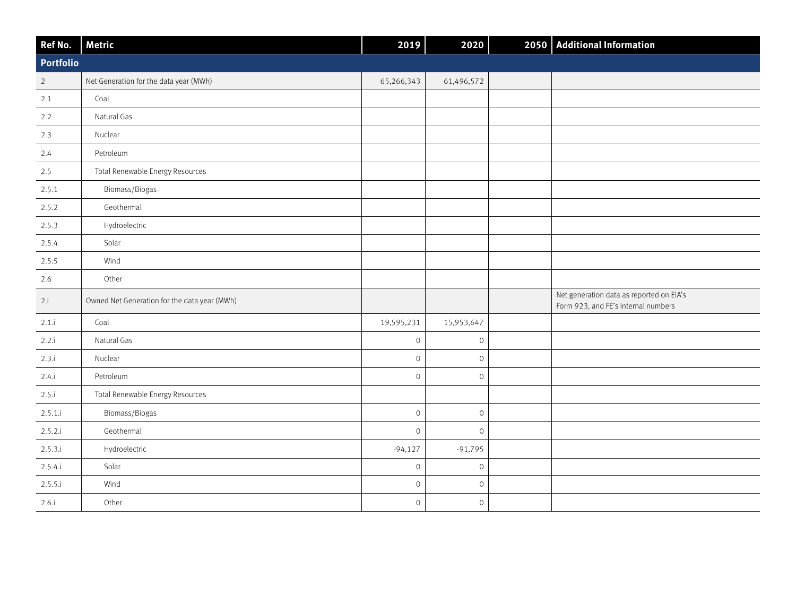| Ref No.        | <b>Metric</b>                                | 2019         | 2020                |  | 2050 Additional Information                                                     |
|----------------|----------------------------------------------|--------------|---------------------|--|---------------------------------------------------------------------------------|
| Portfolio      |                                              |              |                     |  |                                                                                 |
| $\overline{2}$ | Net Generation for the data year (MWh)       | 65,266,343   | 61,496,572          |  |                                                                                 |
| 2.1            | Coal                                         |              |                     |  |                                                                                 |
| 2.2            | Natural Gas                                  |              |                     |  |                                                                                 |
| 2.3            | Nuclear                                      |              |                     |  |                                                                                 |
| 2.4            | Petroleum                                    |              |                     |  |                                                                                 |
| 2.5            | Total Renewable Energy Resources             |              |                     |  |                                                                                 |
| 2.5.1          | Biomass/Biogas                               |              |                     |  |                                                                                 |
| 2.5.2          | Geothermal                                   |              |                     |  |                                                                                 |
| 2.5.3          | Hydroelectric                                |              |                     |  |                                                                                 |
| 2.5.4          | Solar                                        |              |                     |  |                                                                                 |
| 2.5.5          | Wind                                         |              |                     |  |                                                                                 |
| 2.6            | Other                                        |              |                     |  |                                                                                 |
| 2.i            | Owned Net Generation for the data year (MWh) |              |                     |  | Net generation data as reported on EIA's<br>Form 923, and FE's internal numbers |
| 2.1.i          | Coal                                         | 19,595,231   | 15,953,647          |  |                                                                                 |
| 2.2.i          | Natural Gas                                  | $\mathbf 0$  | $\mathsf O$         |  |                                                                                 |
| 2.3.i          | Nuclear                                      | $\mathbf{0}$ | $\mathsf{O}\xspace$ |  |                                                                                 |
| 2.4.i          | Petroleum                                    | $\circ$      | $\mathbf 0$         |  |                                                                                 |
| 2.5.i          | Total Renewable Energy Resources             |              |                     |  |                                                                                 |
| 2.5.1.i        | Biomass/Biogas                               | $\mathbf 0$  | $\mathsf{O}\xspace$ |  |                                                                                 |
| 2.5.2.i        | Geothermal                                   | $\mathbf 0$  | $\mathsf{O}\xspace$ |  |                                                                                 |
| 2.5.3.i        | Hydroelectric                                | $-94,127$    | $-91,795$           |  |                                                                                 |
| 2.5.4.i        | Solar                                        | $\mathbf 0$  | $\mathsf{O}\xspace$ |  |                                                                                 |
| 2.5.5.i        | Wind                                         | $\mathbf 0$  | $\mathsf{O}\xspace$ |  |                                                                                 |
| 2.6.i          | Other                                        | $\mbox{O}$   | $\mathsf{O}\xspace$ |  |                                                                                 |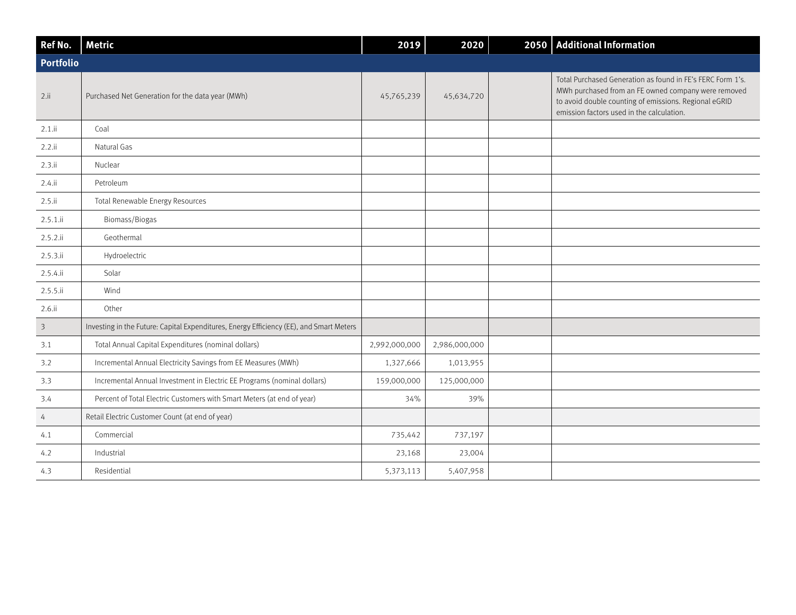| Ref No.          | <b>Metric</b>                                                                           | 2019          | 2020          |  | 2050   Additional Information                                                                                                                                                                                           |
|------------------|-----------------------------------------------------------------------------------------|---------------|---------------|--|-------------------------------------------------------------------------------------------------------------------------------------------------------------------------------------------------------------------------|
| <b>Portfolio</b> |                                                                                         |               |               |  |                                                                                                                                                                                                                         |
| 2.11             | Purchased Net Generation for the data year (MWh)                                        | 45,765,239    | 45,634,720    |  | Total Purchased Generation as found in FE's FERC Form 1's.<br>MWh purchased from an FE owned company were removed<br>to avoid double counting of emissions. Regional eGRID<br>emission factors used in the calculation. |
| $2.1$ .ii        | Coal                                                                                    |               |               |  |                                                                                                                                                                                                                         |
| 2.2.1i           | Natural Gas                                                                             |               |               |  |                                                                                                                                                                                                                         |
| 2.3.ii           | Nuclear                                                                                 |               |               |  |                                                                                                                                                                                                                         |
| $2.4$ .ii        | Petroleum                                                                               |               |               |  |                                                                                                                                                                                                                         |
| 2.5.ii           | Total Renewable Energy Resources                                                        |               |               |  |                                                                                                                                                                                                                         |
| $2.5.1$ .ii      | Biomass/Biogas                                                                          |               |               |  |                                                                                                                                                                                                                         |
| $2.5.2$ .ii      | Geothermal                                                                              |               |               |  |                                                                                                                                                                                                                         |
| 2.5.3.1i         | Hydroelectric                                                                           |               |               |  |                                                                                                                                                                                                                         |
| 2.5.4.1i         | Solar                                                                                   |               |               |  |                                                                                                                                                                                                                         |
| 2.5.5.1i         | Wind                                                                                    |               |               |  |                                                                                                                                                                                                                         |
| $2.6.$ ii        | Other                                                                                   |               |               |  |                                                                                                                                                                                                                         |
| $\overline{3}$   | Investing in the Future: Capital Expenditures, Energy Efficiency (EE), and Smart Meters |               |               |  |                                                                                                                                                                                                                         |
| 3.1              | Total Annual Capital Expenditures (nominal dollars)                                     | 2,992,000,000 | 2,986,000,000 |  |                                                                                                                                                                                                                         |
| 3.2              | Incremental Annual Electricity Savings from EE Measures (MWh)                           | 1,327,666     | 1,013,955     |  |                                                                                                                                                                                                                         |
| 3.3              | Incremental Annual Investment in Electric EE Programs (nominal dollars)                 | 159,000,000   | 125,000,000   |  |                                                                                                                                                                                                                         |
| 3.4              | Percent of Total Electric Customers with Smart Meters (at end of year)                  | 34%           | 39%           |  |                                                                                                                                                                                                                         |
| $\overline{4}$   | Retail Electric Customer Count (at end of year)                                         |               |               |  |                                                                                                                                                                                                                         |
| 4.1              | Commercial                                                                              | 735,442       | 737,197       |  |                                                                                                                                                                                                                         |
| 4.2              | Industrial                                                                              | 23,168        | 23,004        |  |                                                                                                                                                                                                                         |
| 4.3              | Residential                                                                             | 5,373,113     | 5,407,958     |  |                                                                                                                                                                                                                         |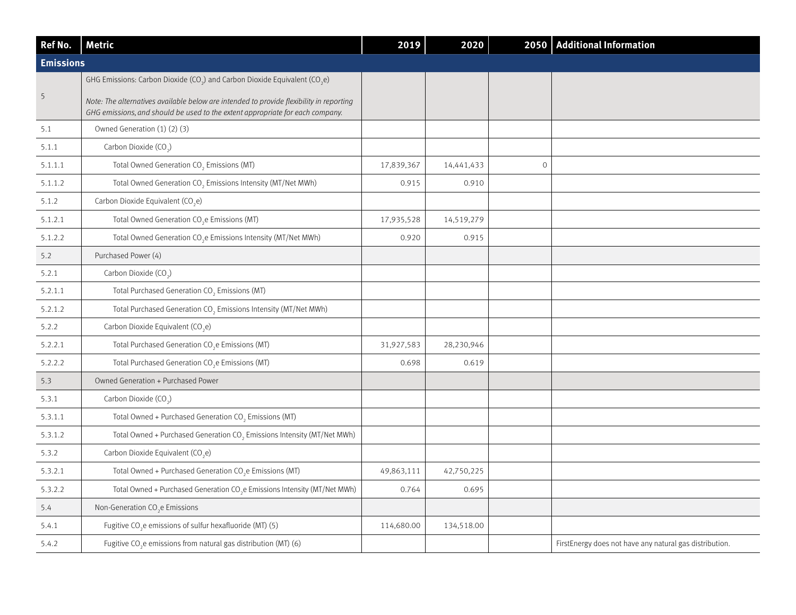| Ref No.          | <b>Metric</b>                                                                                                                                                            | 2019       | 2020       |               | 2050 Additional Information                             |
|------------------|--------------------------------------------------------------------------------------------------------------------------------------------------------------------------|------------|------------|---------------|---------------------------------------------------------|
| <b>Emissions</b> |                                                                                                                                                                          |            |            |               |                                                         |
|                  | GHG Emissions: Carbon Dioxide (CO <sub>2</sub> ) and Carbon Dioxide Equivalent (CO <sub>2</sub> e)                                                                       |            |            |               |                                                         |
| $\overline{5}$   | Note: The alternatives available below are intended to provide flexibility in reporting<br>GHG emissions, and should be used to the extent appropriate for each company. |            |            |               |                                                         |
| 5.1              | Owned Generation (1) (2) (3)                                                                                                                                             |            |            |               |                                                         |
| 5.1.1            | Carbon Dioxide (CO <sub>2</sub> )                                                                                                                                        |            |            |               |                                                         |
| 5.1.1.1          | Total Owned Generation CO <sub>2</sub> Emissions (MT)                                                                                                                    | 17,839,367 | 14,441,433 | $\mathcal{O}$ |                                                         |
| 5.1.1.2          | Total Owned Generation CO <sub>2</sub> Emissions Intensity (MT/Net MWh)                                                                                                  | 0.915      | 0.910      |               |                                                         |
| 5.1.2            | Carbon Dioxide Equivalent (CO <sub>2</sub> e)                                                                                                                            |            |            |               |                                                         |
| 5.1.2.1          | Total Owned Generation CO <sub>2</sub> e Emissions (MT)                                                                                                                  | 17,935,528 | 14,519,279 |               |                                                         |
| 5.1.2.2          | Total Owned Generation CO <sub>2</sub> e Emissions Intensity (MT/Net MWh)                                                                                                | 0.920      | 0.915      |               |                                                         |
| 5.2              | Purchased Power (4)                                                                                                                                                      |            |            |               |                                                         |
| 5.2.1            | Carbon Dioxide (CO <sub>2</sub> )                                                                                                                                        |            |            |               |                                                         |
| 5.2.1.1          | Total Purchased Generation CO <sub>2</sub> Emissions (MT)                                                                                                                |            |            |               |                                                         |
| 5.2.1.2          | Total Purchased Generation CO <sub>2</sub> Emissions Intensity (MT/Net MWh)                                                                                              |            |            |               |                                                         |
| 5.2.2            | Carbon Dioxide Equivalent (CO <sub>2</sub> e)                                                                                                                            |            |            |               |                                                         |
| 5.2.2.1          | Total Purchased Generation CO <sub>2</sub> e Emissions (MT)                                                                                                              | 31,927,583 | 28,230,946 |               |                                                         |
| 5.2.2.2          | Total Purchased Generation CO <sub>2</sub> e Emissions (MT)                                                                                                              | 0.698      | 0.619      |               |                                                         |
| 5.3              | Owned Generation + Purchased Power                                                                                                                                       |            |            |               |                                                         |
| 5.3.1            | Carbon Dioxide (CO <sub>2</sub> )                                                                                                                                        |            |            |               |                                                         |
| 5.3.1.1          | Total Owned + Purchased Generation CO <sub>2</sub> Emissions (MT)                                                                                                        |            |            |               |                                                         |
| 5.3.1.2          | Total Owned + Purchased Generation CO <sub>2</sub> Emissions Intensity (MT/Net MWh)                                                                                      |            |            |               |                                                         |
| 5.3.2            | Carbon Dioxide Equivalent (CO <sub>2</sub> e)                                                                                                                            |            |            |               |                                                         |
| 5.3.2.1          | Total Owned + Purchased Generation CO <sub>2</sub> e Emissions (MT)                                                                                                      | 49,863,111 | 42,750,225 |               |                                                         |
| 5.3.2.2          | Total Owned + Purchased Generation CO <sub>2</sub> e Emissions Intensity (MT/Net MWh)                                                                                    | 0.764      | 0.695      |               |                                                         |
| 5.4              | Non-Generation CO <sub>2</sub> e Emissions                                                                                                                               |            |            |               |                                                         |
| 5.4.1            | Fugitive CO <sub>2</sub> e emissions of sulfur hexafluoride (MT) (5)                                                                                                     | 114,680.00 | 134,518.00 |               |                                                         |
| 5.4.2            | Fugitive CO <sub>2</sub> e emissions from natural gas distribution (MT) (6)                                                                                              |            |            |               | FirstEnergy does not have any natural gas distribution. |